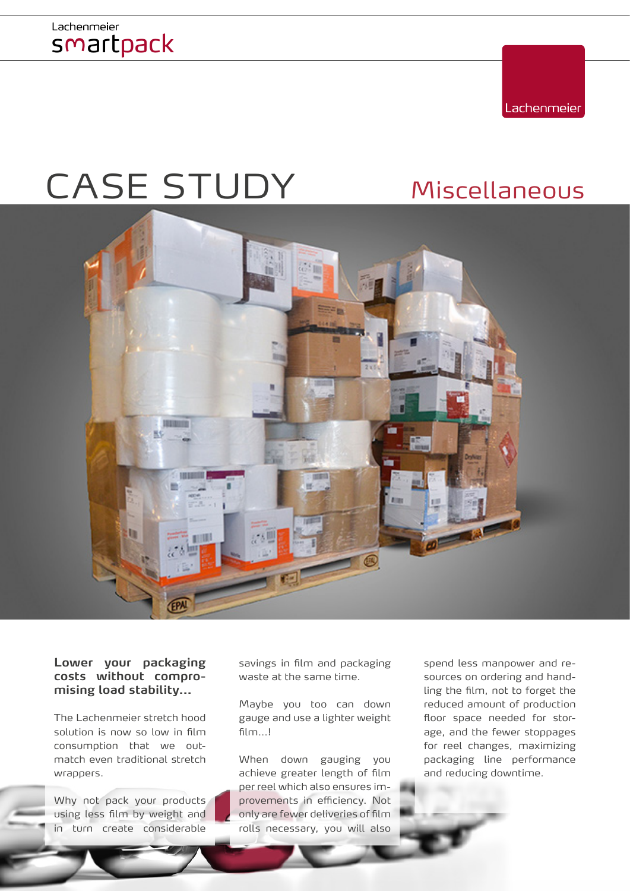

# CASE STUDY Miscellaneous



**Lower your packaging costs without compromising load stability…**

The Lachenmeier stretch hood solution is now so low in film consumption that we outmatch even traditional stretch wrappers.

Why not pack your products using less film by weight and in turn create considerable

savings in film and packaging waste at the same time.

Maybe you too can down gauge and use a lighter weight film...!

When down gauging you achieve greater length of film per reel which also ensures improvements in efficiency. Not only are fewer deliveries of film rolls necessary, you will also

spend less manpower and resources on ordering and handling the film, not to forget the reduced amount of production floor space needed for storage, and the fewer stoppages for reel changes, maximizing packaging line performance and reducing downtime.